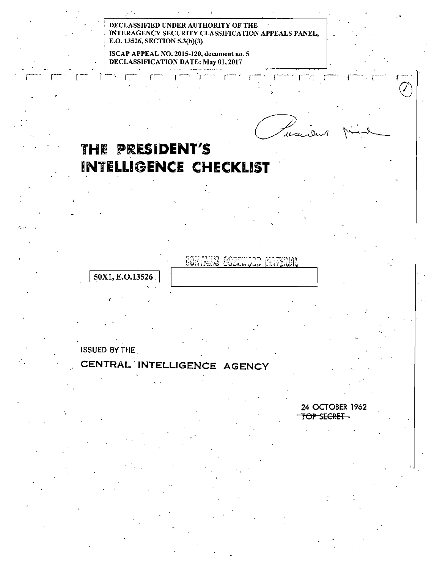#### DECLASSIFIED UNDER AUTHORITY OF THE INTERAGENCY SECURITY CLASSIFICATION APPEALS PANEL, E.O. 13526, SECTION 5.3(b)(3)

,--·· r·- . r:-· r-·, r-···· r·-· r·-· r·-··r-.··~ 1-· r-·.c-·

ISCAP APPEAL NO. 2015-120, document no. 5 DECLASSIFICATION DATE: May 01, 2017

# **THE PRESIDENT'S iNTELLIGENCE CHECKLIST**

## COMMAND CODEWOOD 50X1, E.O.13526

 $\frac{1}{\sqrt{2}}$ 

·...

ISSUED BYTHE.

**ANTERNAT** 

## **CENTRAL. INTELLIGENCE AGENCY**

24 OCTOBER 1962 TOP SECRET

 $\mathbf{1}$ .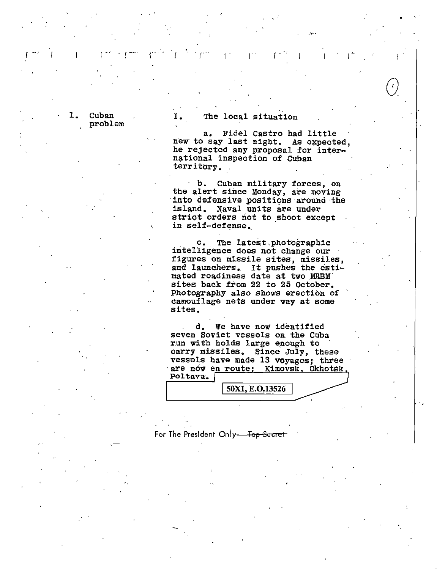1. Cuban problem

### I. The local situation

a. Fidel Castro had little new to say last night. As expected, he rejected any proposal for international inspection of Cuban territory. .

I. I. I. I . I. I. I. I. I. I

b. Cuban military forces, on b. Cuban military forces, on the alert since Monday, are moving into defensive positions around the island. Naval units are under strict orders not to shoot except in self-defense.,

c. The latest photographic intelligence does not change our figures on missile sites, missiles, and launchers. It pushes the esti mated readiness date at two MRBM' sites back from 22 to 25 October. Photography also shows erection of camouflage nets under way at some sites.

d, we have now identified seven Soviet vessels on. the Cuba run with holds large enough to carry missiles, Since July, these vessels have made 13 voyages; three are now en route: Kimovsk, Okhots Poltava:.

50X1, E.O.13526

.. ,

For The President Only-<del>Top Secret</del>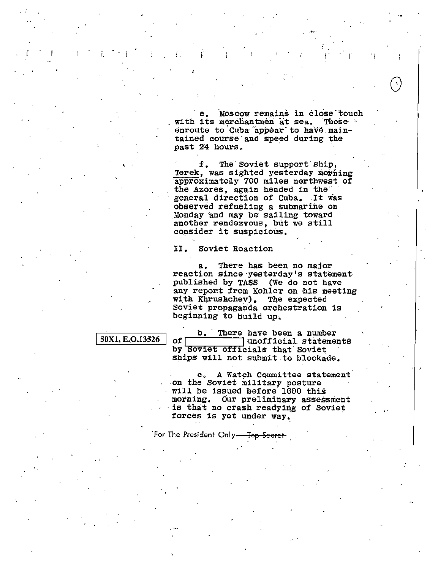Moscow remains in close touch е. with its merchantmen at sea. Those enroute to Cuba appear to have maintained course and speed during the past 24 hours.

f. The Soviet support ship, Terek, was sighted yesterday morning approximately 700 miles northwest of the Azores, again headed in the" general direction of Cuba. It was observed refueling a submarine on Monday and may be sailing toward another rendezvous, but we still consider it suspicious.

#### Soviet Reaction II.

 $\mathbf{I}$ 

There has been no major  $a_{-}$ reaction since yesterday's statement published by TASS (We do not have any report from Kohler on his meeting The expected with Khrushchev). Soviet propaganda orchestration is beginning to build up.

#### 50X1, E.O.13526

b. There have been a number of I unofficial statements by Soviet officials that Soviet ships will not submit to blockade.

A Watch Committee statement c. on the Soviet military posture<br>will be issued before 1000 this morning. Our preliminary assessment is that no crash readying of Soviet forces is yet under way.

For The President Only<del>. Top Secret</del>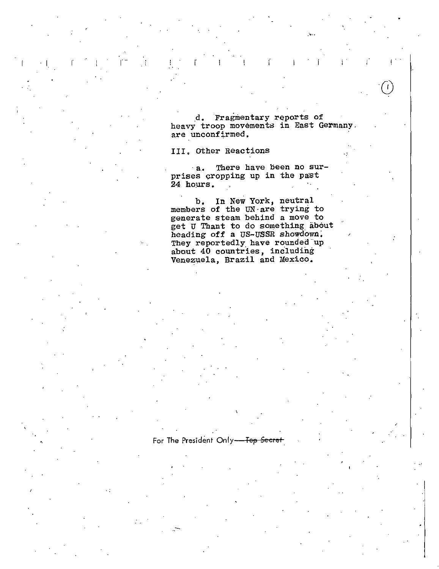d. Fragmentary reports of heavy troop movements in East Germany. are unconfirmed.

 $\mathbf{I}$ 

III, Other Reactions

For The President Only-Top Secret

a. There have been no surprises cropping up in the past 24 hours.  $\mathbb{R}^2$ 

b. In New York, neutral<br>members of the UN are trying to generate steam behind a move to get U Thant to do something about heading off a US-USSR showdown. They reportedly have rounded up about 40 countries, including Venezuela, Brazil and Mexico.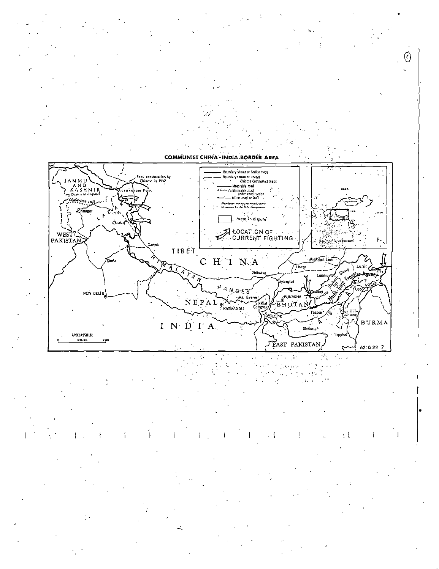

 $\mathcal{L}^{\text{max}}(\mathcal{C})$  $\mathbb{Z}_4$ λ.  $\mathcal{L}_{\text{max}}$  .  $\hat{J}^{\mu\nu}$  , we have  $\ddot{\phantom{a}}$  $\begin{array}{l} \alpha = \frac{1}{2} \frac{1}{2} \alpha \\ \alpha = \frac{1}{2} \frac{1}{2} \frac{\alpha}{2} \frac{\alpha}{2} \end{array}$  $\frac{1}{2}$  $\mathcal{L}$  $\frac{1}{2}$ 

 $\cdot$  {  $\cdot$  { 4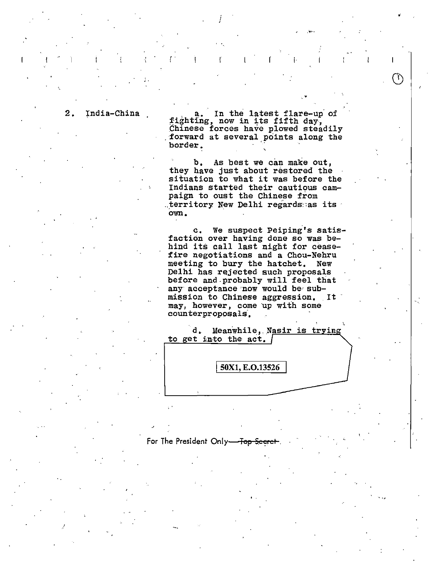' .

2. India-China a.. a. In the latest flare-up of fighting, now in its fifth day, Chinese forces have plowed steadily forward at several points along the forward at several points along the border. '

*i* 

 $\Gamma = \Gamma = \Gamma = \Gamma = \Gamma = \Gamma$ 

 $\mathcal{L}^{(1)}$  , and the set of the set of the set of the set of the set of the set of the set of the set of the set of the set of the set of the set of the set of the set of the set of the set of the set of the set of the

T)

b. As best we can make out, they have just about restored the situation to what it was before the Indians started their cautious campaign to oust the Chinese from  $\therefore$  territory New Delhi regards: as its own.

c. We suspect Peiping's satisfaction over having done so was behind its call last night for ceasefire negotiations and a Chou-Nehru meeting to bury the hatchet. New Delhi has rejected such proposals before and-probably will feel that any acceptance now would be submission to Chinese aggression. It may, however, come up with some counterproposals·.



' .,

#### For The President Only-Top Seer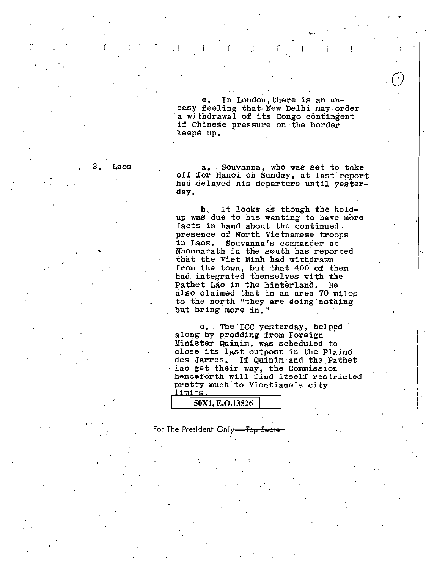e. In London, there is an une. In London, there is an un-<br>easy feeling that New Delhi may order a withdrawal of its Congo contingent if Chinese pressure on·the border keeps up.

r . The r  $\mathcal{C}$  r  $\mathcal{C}$  is a result of  $\mathcal{C}$  . The r  $\mathcal{C}$ 

3. Laos **a.** Souvanna, who was set to take off for Hanoi on Sunday, at last report had delayed his departure until yesterday.

> b, It looks as though the holdup was due to his wanting to have more<br>facts in hand about the continued presence of North Vietnamese troops<br>in Laos. Souvanna's commander at Souvanna's commander at Nhommarath in the south has.reported that the Viet Minh had withdrawn from the town, but that 400 of them had. integrated themselves with the Pathet Lao in the hinterland. He also claimed that in an area 70 miles to the north "they are doing nothing but bring more in."

> c. The ICC yesterday, helped along by prodding from Foreign Minister Quinim, was scheduled to close its last outpost in the Plaine des Jarres. If Quinim and the Pathet Lao get their way, the Commission henceforth will find itself restricted pretty much to Vientiane's city

|  | 0X1, E.O.13526 |  |
|--|----------------|--|

For, The President Only-<del>- Top Secret</del>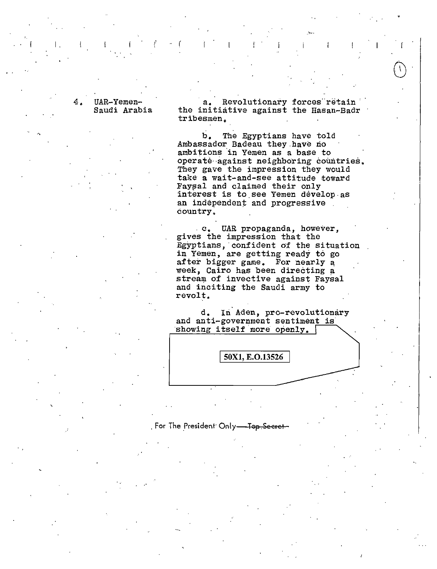#### UAR-Yemen-Saudi Arabia

I.

...

a. Revolutionary forces retain<br>the initiative against the Hasan-Badr tribesmen,

b, The Egyptians have told Ambassador Badeau they have no ambitions in Yemen as a base to operate against neighboring countries. They gave the impression they would take a wait-and-see attitude toward Faysal and claimed their only interest is to.see Yemen develop.as an independent and progressive. country.

c. UAR propaganda, however, gives the impression that the Egyptians, confident of the situation in Yemen, are getting ready to go after bigger game. For nearly a week, Cairo has been directing a stream of invective against Faysal and inciting the Saudi army to revolt.

d. In Aden, pro-revolutionary and anti-government sentiment is showing itself more openly.

50X1, E.O.13526

## . For The President<sup>.</sup> Only<del>—Top.Secret</del>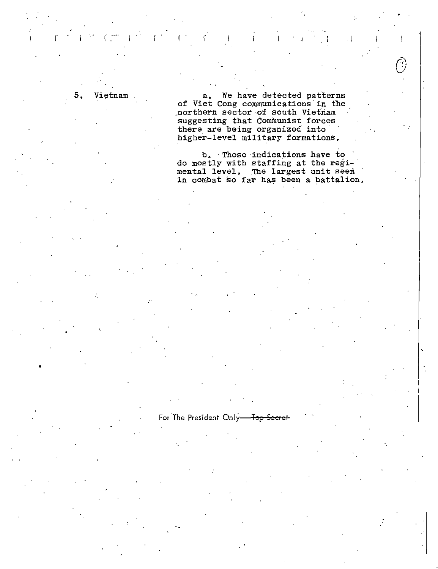5, Vietnam

•

a. We have detected patterns of Viet Cong communications in the .northern sector of south Vietnam suggesting that Communist forces there are being organized into higher-level military formations.

*c*\_- -· r . r -1 i I !

b. These indications .have to do mostly with staffing at the regi-· mental level, .The largest unit seen in combat so far has been a battalion,

For The President Only-Top Secret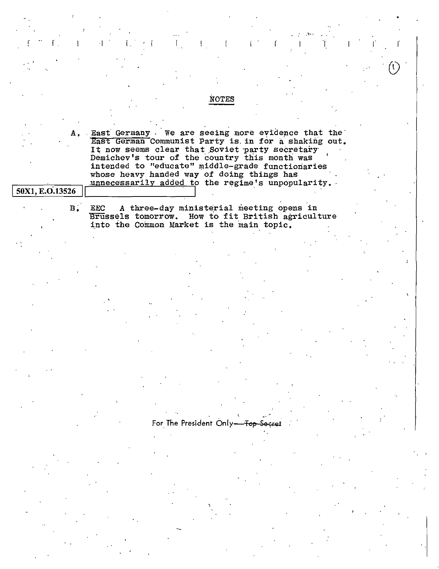# **NOTES** East Germany We are seeing more evidence that the А. East German Communist Party is in for a shaking out. It now seems clear that Soviet party secretary Demichev's tour of the country this month was intended to "educate" middle-grade functionaries whose heavy handed way of doing things has unnecessarily added to the regime's unpopularity. 50X1, E.O.13526  $B^{\cdot}$ **EEC** A three-day ministerial meeting opens in Brussels tomorrow. How to fit British agriculture into the Common Market is the main topic. For The President Only-